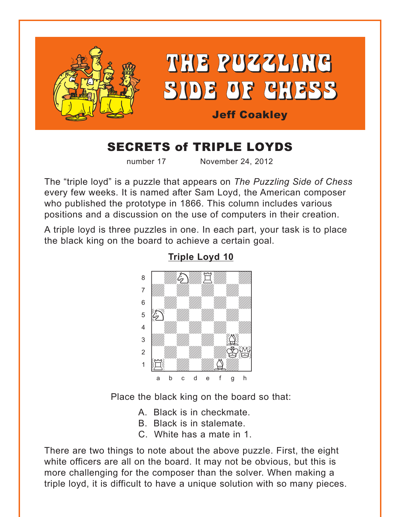<span id="page-0-0"></span>

# **SECRETS of TRIPLE LOYDS**

number 17

November 24, 2012

The "triple loyd" is a puzzle that appears on The Puzzling Side of Chess every few weeks. It is named after Sam Loyd, the American composer who published the prototype in 1866. This column includes various positions and a discussion on the use of computers in their creation.

A triple loyd is three puzzles in one. In each part, your task is to place the black king on the board to achieve a certain goal.



**Triple Loyd 10** 

Place the black king on the board so that:

A. Black is in checkmate.

- B. Black is in stalemate.
- C. White has a mate in 1.

There are two things to note about the above puzzle. First, the eight white officers are all on the board. It may not be obvious, but this is more challenging for the composer than the solver. When making a triple loyd, it is difficult to have a unique solution with so many pieces.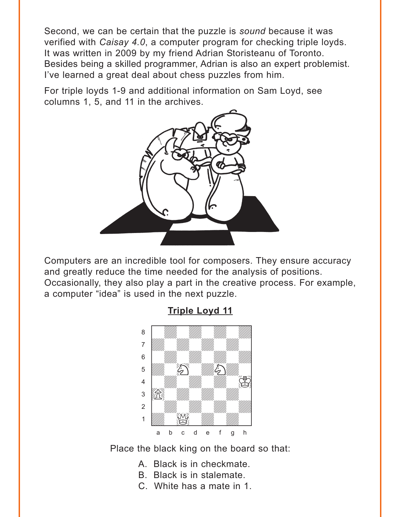<span id="page-1-0"></span>Second, we can be certain that the puzzle is *sound* because it was verified with *Caisay 4.0*, a computer program for checking triple loyds. It was written in 2009 by my friend Adrian Storisteanu of Toronto. Besides being a skilled programmer, Adrian is also an expert problemist. I've learned a great deal about chess puzzles from him.

For triple loyds 1-9 and additional information on Sam Loyd, see columns 1, 5, and 11 in the archives.



Computers are an incredible tool for composers. They ensure accuracy and greatly reduce the time needed for the analysis of positions. Occasionally, they also play a part in the creative process. For example, a computer "idea" is used in the next puzzle.



**[Triple Loyd 11](#page-6-0)**

Place the black king on the board so that:

- A. Black is in checkmate.
- B. Black is in stalemate.
- C. White has a mate in 1.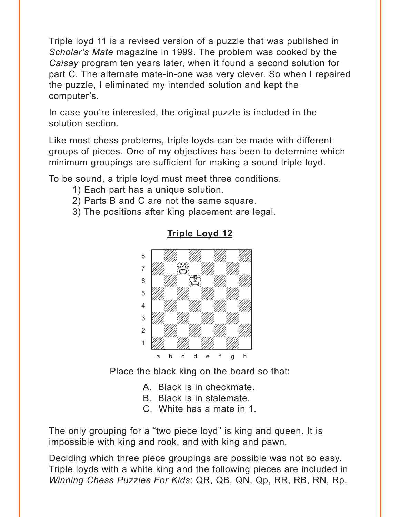<span id="page-2-0"></span>Triple loyd 11 is a revised version of a puzzle that was published in *Scholar's Mate* magazine in 1999. The problem was cooked by the *Caisay* program ten years later, when it found a second solution for part C. The alternate mate-in-one was very clever. So when I repaired the puzzle, I eliminated my intended solution and kept the computer's.

In case you're interested, the original puzzle is included in the solution section.

Like most chess problems, triple loyds can be made with different groups of pieces. One of my objectives has been to determine which minimum groupings are sufficient for making a sound triple loyd.

To be sound, a triple loyd must meet three conditions.

- 1) Each part has a unique solution.
- 2) Parts B and C are not the same square.
- 3) The positions after king placement are legal.



#### **[Triple Loyd 12](#page-7-0)**

Place the black king on the board so that:

- A. Black is in checkmate.
- B. Black is in stalemate.
- C. White has a mate in 1.

The only grouping for a "two piece loyd" is king and queen. It is impossible with king and rook, and with king and pawn.

Deciding which three piece groupings are possible was not so easy. Triple loyds with a white king and the following pieces are included in *Winning Chess Puzzles For Kids*: QR, QB, QN, Qp, RR, RB, RN, Rp.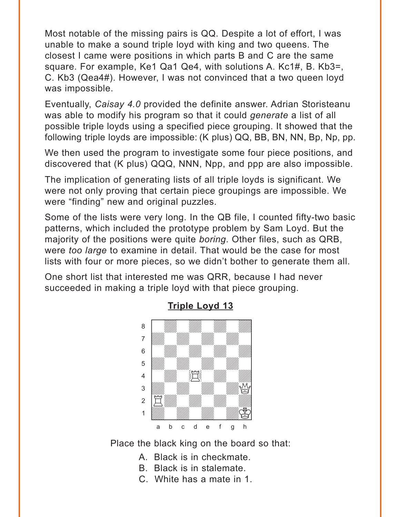<span id="page-3-0"></span>Most notable of the missing pairs is QQ. Despite a lot of effort, I was unable to make a sound triple loyd with king and two queens. The closest I came were positions in which parts B and C are the same square. For example, Ke1 Qa1 Qe4, with solutions A. Kc1#, B. Kb3=, C. Kb3 (Qea4#). However, I was not convinced that a two queen loyd was impossible.

Eventually, *Caisay 4.0* provided the definite answer. Adrian Storisteanu was able to modify his program so that it could *generate* a list of all possible triple loyds using a specified piece grouping. It showed that the following triple loyds are impossible: (K plus) QQ, BB, BN, NN, Bp, Np, pp.

We then used the program to investigate some four piece positions, and discovered that (K plus) QQQ, NNN, Npp, and ppp are also impossible.

The implication of generating lists of all triple loyds is significant. We were not only proving that certain piece groupings are impossible. We were "finding" new and original puzzles.

Some of the lists were very long. In the QB file, I counted fifty-two basic patterns, which included the prototype problem by Sam Loyd. But the majority of the positions were quite *boring*. Other files, such as QRB, were *too large* to examine in detail. That would be the case for most lists with four or more pieces, so we didn't bother to generate them all.

One short list that interested me was QRR, because I had never succeeded in making a triple loyd with that piece grouping.



#### **[Triple Loyd 13](#page-7-0)**

Place the black king on the board so that:

- A. Black is in checkmate.
- B. Black is in stalemate.
- C. White has a mate in 1.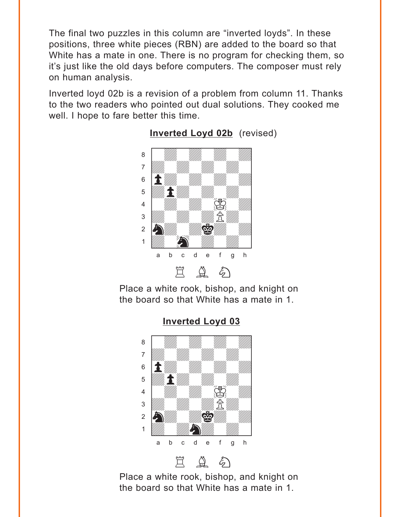<span id="page-4-0"></span>The final two puzzles in this column are "inverted loyds". In these positions, three white pieces (RBN) are added to the board so that White has a mate in one. There is no program for checking them, so it's just like the old days before computers. The composer must rely on human analysis.

Inverted loyd 02b is a revision of a problem from column 11. Thanks to the two readers who pointed out dual solutions. They cooked me well. I hope to fare better this time.



**[Inverted Loyd 02b](#page-8-0)** (revised)

Place a white rook, bishop, and knight on the board so that White has a mate in 1.

> **[Inverted Loyd 03](#page-8-0)** where  $\frac{1}{2}$  is the set of  $\frac{1}{2}$  or  $\frac{1}{2}$  or  $\frac{1}{2}$  or  $\frac{1}{2}$  or  $\frac{1}{2}$  or  $\frac{1}{2}$  or  $\frac{1}{2}$  or  $\frac{1}{2}$  or  $\frac{1}{2}$  or  $\frac{1}{2}$  or  $\frac{1}{2}$  or  $\frac{1}{2}$  or  $\frac{1}{2}$  or  $\frac{1}{2}$  or  $\frac{1}{2}$



Place a white rook, bishop, and knight on the board so that White has a mate in 1.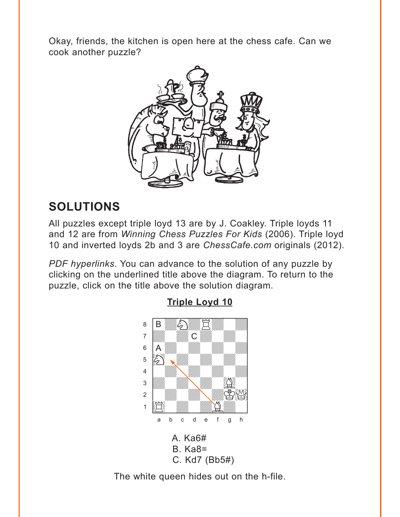<span id="page-5-0"></span>Okay, friends, the kitchen is open here at the chess cafe. Can we cook another puzzle?



# **SOLUTIONS**

All puzzles except triple loyd 13 are by J. Coakley. Triple loyds 11 and 12 are from Winning Chess Puzzles For Kids (2006). Triple loyd 10 and inverted loyds 2b and 3 are ChessCafe.com originals (2012).

PDF hyperlinks. You can advance to the solution of any puzzle by clicking on the underlined title above the diagram. To return to the puzzle, click on the title above the solution diagram.



#### **Triple Loyd 10**

The white queen hides out on the h-file.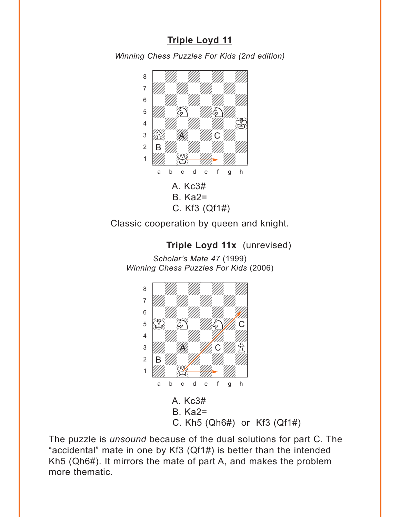## **[Triple Loyd 11](#page-1-0)**

<span id="page-6-0"></span>*Winning Chess Puzzles For Kids (2nd edition)*



Classic cooperation by queen and knight.

**Triple Loyd 11x** (unrevised) *Scholar's Mate 47* (1999) *Winning Chess Puzzles For Kids* (2006)



The puzzle is *unsound* because of the dual solutions for part C. The "accidental" mate in one by Kf3 (Qf1#) is better than the intended Kh5 (Qh6#). It mirrors the mate of part A, and makes the problem more thematic.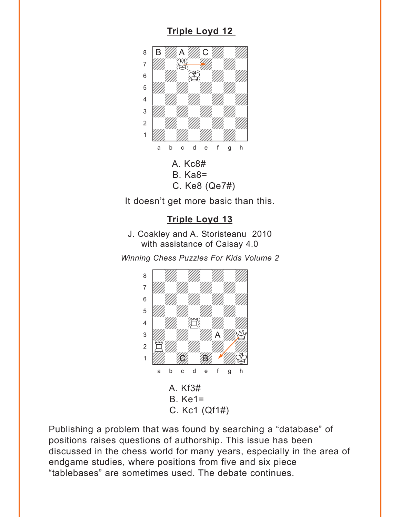## **[Triple Loyd 12](#page-2-0)**

<span id="page-7-0"></span>

It doesn't get more basic than this.

#### **[Triple Loyd 13](#page-3-0)**

J. Coakley and A. Storisteanu 2010 with assistance of Caisay 4.0

*Winning Chess Puzzles For Kids Volume 2* w\_\_\_\_\_\_\_\_w



Publishing a problem that was found by searching a "database" of positions raises questions of authorship. This issue has been discussed in the chess world for many years, especially in the area of endgame studies, where positions from five and six piece "tablebases" are sometimes used. The debate continues.